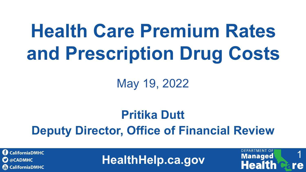## **Health Care Premium Rates and Prescription Drug Costs**

May 19, 2022

#### **Pritika Dutt Deputy Director, Office of Financial Review**

**C** CaliforniaDMHC  $\mathbf{\Omega}$  @CADMHC **CaliforniaDMHC** 

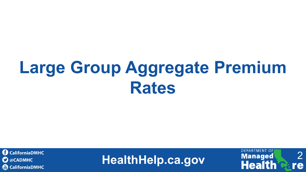### **Large Group Aggregate Premium Rates**



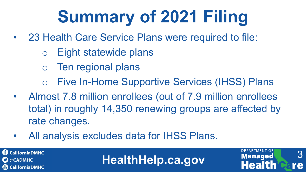### **Summary of 2021 Filing**

- 23 Health Care Service Plans were required to file:
	- o Eight statewide plans
	- o Ten regional plans
	- o Five In-Home Supportive Services (IHSS) Plans
- Almost 7.8 million enrollees (out of 7.9 million enrollees total) in roughly 14,350 renewing groups are affected by rate changes.

**HealthHelp.ca.gov**

3

re

**DEPARTMENT OF** 

**Managed** 

• All analysis excludes data for IHSS Plans.

**C** CaliforniaDMHC  $\mathbf{\mathbf{\Omega}}$  @CADMHC **CaliforniaDMHC**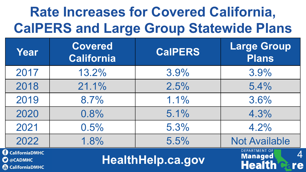#### **Rate Increases for Covered California, CalPERS and Large Group Statewide Plans**

| Year                                                                                   | Covered<br><b>California</b> | <b>CalPERS</b>           | <b>Large Group</b><br><b>Plans</b>                                       |
|----------------------------------------------------------------------------------------|------------------------------|--------------------------|--------------------------------------------------------------------------|
| 2017                                                                                   | 13.2%                        | 3.9%                     | 3.9%                                                                     |
| 2018                                                                                   | 21.1%                        | 2.5%                     | 5.4%                                                                     |
| 2019                                                                                   | 8.7%                         | 1.1%                     | 3.6%                                                                     |
| 2020                                                                                   | 0.8%                         | 5.1%                     | 4.3%                                                                     |
| 2021                                                                                   | 0.5%                         | 5.3%                     | 4.2%                                                                     |
| 2022                                                                                   | 1.8%                         | 5.5%                     | <b>Not Available</b>                                                     |
| <b>CaliforniaDMHC</b><br>$\boldsymbol{\Omega}$ @CADMHC<br>$\mathbb{R}$ California DMHC |                              | <b>HealthHelp.ca.gov</b> | <b>DEPARTMENT OF</b><br>$\overline{4}$<br><b>Managed</b><br>Health<br>re |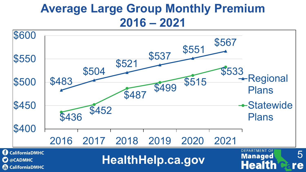#### **Average Large Group Monthly Premium 2016 – 2021**

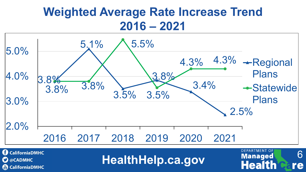#### **Weighted Average Rate Increase Trend 2016 – 2021**



**CaliforniaDMHC C** @CADMHC **CaliforniaDMHC**  **HealthHelp.ca.gov** Managed 6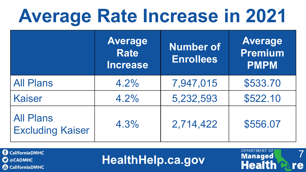## **Average Rate Increase in 2021**

|                                             | <b>Average</b><br><b>Rate</b><br><b>Increase</b> | <b>Number of</b><br><b>Enrollees</b> | <b>Average</b><br><b>Premium</b><br><b>PMPM</b> |
|---------------------------------------------|--------------------------------------------------|--------------------------------------|-------------------------------------------------|
| <b>All Plans</b>                            | 4.2%                                             | 7,947,015                            | \$533.70                                        |
| <b>Kaiser</b>                               | 4.2%                                             | 5,232,593                            | \$522.10                                        |
| <b>All Plans</b><br><b>Excluding Kaiser</b> | 4.3%                                             | 2,714,422                            | \$556.07                                        |

**CaliforniaDMHC C** @CADMHC **&** CaliforniaDMHC

**HealthHelp.ca.gov**

7

re

**DEPARTMENT OF** 

**Managed**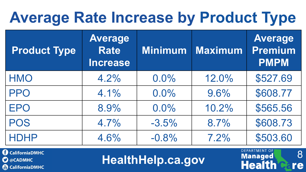#### **Average Rate Increase by Product Type**

| <b>Product Type</b> | <b>Average</b><br><b>Rate</b><br><b>Increase</b> | <b>Minimum</b> | <b>Maximum</b> | <b>Average</b><br><b>Premium</b><br><b>PMPM</b> |
|---------------------|--------------------------------------------------|----------------|----------------|-------------------------------------------------|
| <b>HMO</b>          | 4.2%                                             | $0.0\%$        | 12.0%          | \$527.69                                        |
| <b>PPO</b>          | 4.1%                                             | $0.0\%$        | 9.6%           | \$608.77                                        |
| <b>EPO</b>          | 8.9%                                             | 0.0%           | 10.2%          | \$565.56                                        |
| <b>POS</b>          | 4.7%                                             | $-3.5%$        | 8.7%           | \$608.73                                        |
| <b>HDHP</b>         | 4.6%                                             | $-0.8%$        | 7.2%           | \$503.60                                        |

**CaliforniaDMHC O** @CADMHC **&** CaliforniaDMHC

**HealthHelp.ca.gov**

8

re

**DEPARTMENT OF** 

**Managed**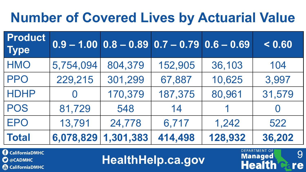#### **Number of Covered Lives by Actuarial Value**

| Product<br><b>Type</b> |           | $\boxed{0.9 - 1.00}$ $\boxed{0.8 - 0.89}$ $\boxed{0.7 - 0.79}$ $\boxed{0.6 - 0.69}$ |         |         | < 0.60   |
|------------------------|-----------|-------------------------------------------------------------------------------------|---------|---------|----------|
| <b>HMO</b>             | 5,754,094 | 804,379                                                                             | 152,905 | 36,103  | 104      |
| <b>PPO</b>             | 229,215   | 301,299                                                                             | 67,887  | 10,625  | 3,997    |
| <b>HDHP</b>            |           | 170,379                                                                             | 187,375 | 80,961  | 31,579   |
| <b>POS</b>             | 81,729    | 548                                                                                 | 14      |         | $\Omega$ |
| <b>EPO</b>             | 13,791    | 24,778                                                                              | 6,717   | 1,242   | 522      |
| <b>Total</b>           | 6,078,829 | 1,301,383                                                                           | 414,498 | 128,932 | 36,202   |

**CaliforniaDMHC C** @CADMHC **CaliforniaDMHC** 

**HealthHelp.ca.gov**

9

re

**DEPARTMENT OF** 

**Managed**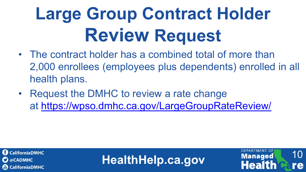## **Large Group Contract Holder Review Request**

- The contract holder has a combined total of more than 2,000 enrollees (employees plus dependents) enrolled in all health plans.
- Request the DMHC to review a rate change at <https://wpso.dmhc.ca.gov/LargeGroupRateReview/>



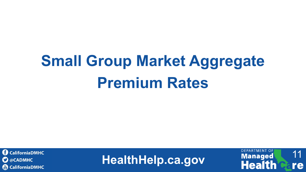### **Small Group Market Aggregate Premium Rates**



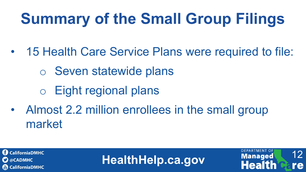### **Summary of the Small Group Filings**

- 15 Health Care Service Plans were required to file:
	- o Seven statewide plans
	- o Eight regional plans
- Almost 2.2 million enrollees in the small group market



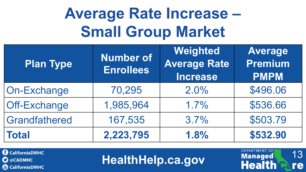#### **Average Rate Increase – Small Group Market**

| <b>Plan Type</b>    | <b>Number of</b><br><b>Enrollees</b> | Weighted<br><b>Average Rate</b><br><b>Increase</b> | <b>Average</b><br><b>Premium</b><br><b>PMPM</b> |
|---------------------|--------------------------------------|----------------------------------------------------|-------------------------------------------------|
| On-Exchange         | 70,295                               | 2.0%                                               | \$496.06                                        |
| <b>Off-Exchange</b> | 1,985,964                            | 1.7%                                               | \$536.66                                        |
| Grandfathered       | 167,535                              | 3.7%                                               | \$503.79                                        |
| <b>Total</b>        | 2,223,795                            | 1.8%                                               | \$532.90                                        |

**CaliforniaDMHC C** @CADMHC **CaliforniaDMHC** 

**HealthHelp.ca.gov**

13

re

**DEPARTMENT OF** 

Managed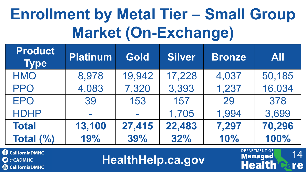### **Enrollment by Metal Tier – Small Group Market (On-Exchange)**

| <b>Product</b><br><b>Type</b> | <b>Platinum</b> | <b>Gold</b> | Silver | <b>Bronze</b> | <b>All</b> |
|-------------------------------|-----------------|-------------|--------|---------------|------------|
| <b>HMO</b>                    | 8,978           | 19,942      | 17,228 | 4,037         | 50,185     |
| <b>PPO</b>                    | 4,083           | 7,320       | 3,393  | 1,237         | 16,034     |
| <b>EPO</b>                    | 39              | 153         | 157    | 29            | 378        |
| <b>HDHP</b>                   |                 |             | 1,705  | 1,994         | 3,699      |
| <b>Total</b>                  | 13,100          | 27,415      | 22,483 | 7,297         | 70,296     |
| Total (%)                     | 19%             | 39%         | 32%    | 10%           | 100%       |

**CaliforniaDMHC C** @CADMHC **(a)** CaliforniaDMHC

**HealthHelp.ca.gov**

14

re

**DEPARTMENT OF** 

**Managed**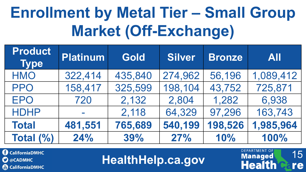#### **Enrollment by Metal Tier – Small Group Market (Off-Exchange)**

| <b>Product</b><br><b>Type</b> | <b>Platinum</b> | <b>Gold</b> | <b>Silver</b> | <b>Bronze</b> | <b>All</b> |
|-------------------------------|-----------------|-------------|---------------|---------------|------------|
| <b>HMO</b>                    | 322,414         | 435,840     | 274,962       | 56,196        | 1,089,412  |
| <b>PPO</b>                    | 158,417         | 325,599     | 198,104       | 43,752        | 725,871    |
| <b>EPO</b>                    | 720             | 2,132       | 2,804         | 1,282         | 6,938      |
| <b>HDHP</b>                   |                 | 2,118       | 64,329        | 97,296        | 163,743    |
| <b>Total</b>                  | 481,551         | 765,689     | 540,199       | 198,526       | 1,985,964  |
| Total $(\%)$                  | 24%             | 39%         | 27%           | 10%           | 100%       |

**CaliforniaDMHC**  $\mathbf{\Omega}$  @CADMHC **(a)** CaliforniaDMHC

**HealthHelp.ca.gov**

15

re

**DEPARTMENT OF** 

**Managed** 

**Hea**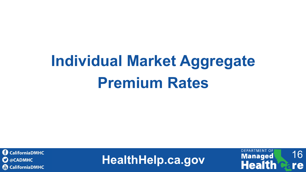### **Individual Market Aggregate Premium Rates**



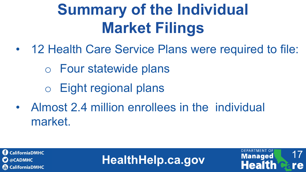### **Summary of the Individual Market Filings**

- 12 Health Care Service Plans were required to file:
	- o Four statewide plans
	- o Eight regional plans
- Almost 2.4 million enrollees in the individual market.



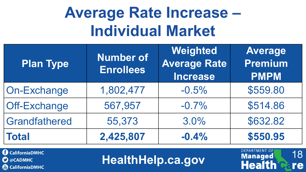#### **Average Rate Increase – Individual Market**

| <b>Plan Type</b>    | <b>Number of</b><br><b>Enrollees</b> | Weighted<br><b>Average Rate</b><br><b>Increase</b> | <b>Average</b><br><b>Premium</b><br><b>PMPM</b> |
|---------------------|--------------------------------------|----------------------------------------------------|-------------------------------------------------|
| <b>On-Exchange</b>  | 1,802,477                            | $-0.5%$                                            | \$559.80                                        |
| <b>Off-Exchange</b> | 567,957                              | $-0.7%$                                            | \$514.86                                        |
| Grandfathered       | 55,373                               | 3.0%                                               | \$632.82                                        |
| <b>Total</b>        | 2,425,807                            | $-0.4%$                                            | \$550.95                                        |

**CaliforniaDMHC C** @CADMHC **&** CaliforniaDMHC

**HealthHelp.ca.gov**

18

re

**DEPARTMENT OF** 

Managed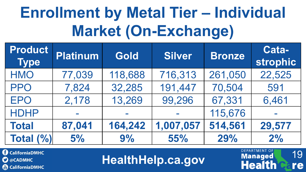### **Enrollment by Metal Tier – Individual Market (On-Exchange)**

| <b>Product</b><br><b>Type</b> | <b>Platinum</b> | <b>Gold</b> | Silver    | <b>Bronze</b> | Cata-<br><b>strophic</b> |
|-------------------------------|-----------------|-------------|-----------|---------------|--------------------------|
| <b>HMO</b>                    | 77,039          | 118,688     | 716,313   | 261,050       | 22,525                   |
| <b>PPO</b>                    | 7,824           | 32,285      | 191,447   | 70,504        | 591                      |
| <b>EPO</b>                    | 2,178           | 13,269      | 99,296    | 67,331        | 6,461                    |
| <b>HDHP</b>                   |                 |             |           | 115,676       | <b>College</b>           |
| <b>Total</b>                  | 87,041          | 164,242     | 1,007,057 | 514,561       | 29,577                   |
| <b>Total (%)</b>              | 5%              | 9%          | 55%       | 29%           | 2%                       |

**C** CaliforniaDMHC  $\mathbf{\Omega}$  @CADMHC **(a)** CaliforniaDMHC

**HealthHelp.ca.gov**

19

re

**DEPARTMENT OF** 

**Managed**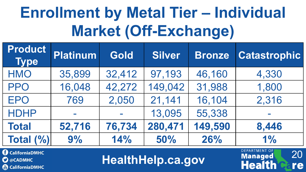### **Enrollment by Metal Tier – Individual Market (Off-Exchange)**

| <b>Product</b><br><b>Type</b> | <b>Platinum</b> | <b>Gold</b>                | <b>Silver</b> | <b>Bronze</b> | <b>Catastrophic</b> |
|-------------------------------|-----------------|----------------------------|---------------|---------------|---------------------|
| <b>HMO</b>                    | 35,899          | 32,412                     | 97,193        | 46,160        | 4,330               |
| <b>PPO</b>                    | 16,048          | 42,272                     | 149,042       | 31,988        | 1,800               |
| <b>EPO</b>                    | 769             | 2,050                      | 21,141        | 16,104        | 2,316               |
| <b>HDHP</b>                   |                 | $\mathcal{L}^{\text{max}}$ | 13,095        | 55,338        | <b>College</b>      |
| <b>Total</b>                  | 52,716          | 76,734                     | 280,471       | 149,590       | 8,446               |
| Total (%)                     | 9%              | 14%                        | 50%           | 26%           | 1%                  |

**C** CaliforniaDMHC  $\mathbf{\Omega}$  @CADMHC **(a)** CaliforniaDMHC

**HealthHelp.ca.gov**

20

re

**DEPARTMENT OF** 

**Managed**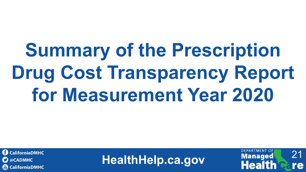# **Summary of the Prescription Drug Cost Transparency Report for Measurement Year 2020**

**CaliforniaDMHC**  $\mathbf{\Omega}$  @CADMHC **CaliforniaDMHC**  **HealthHelp.ca.gov Health Care** 

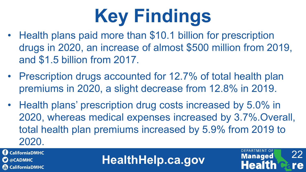# **Key Findings**

- Health plans paid more than \$10.1 billion for prescription drugs in 2020, an increase of almost \$500 million from 2019, and \$1.5 billion from 2017.
- Prescription drugs accounted for 12.7% of total health plan premiums in 2020, a slight decrease from 12.8% in 2019.
- Health plans' prescription drug costs increased by 5.0% in 2020, whereas medical expenses increased by 3.7%.Overall, total health plan premiums increased by 5.9% from 2019 to 2020.

**1** CaliforniaDMHC  $\mathbf{\mathbf{\Omega}}$  @CADMHC **CaliforniaDMHC** 

**HealthHelp.ca.gov**

22

re

**DEPARTMENT OF** 

**Managed**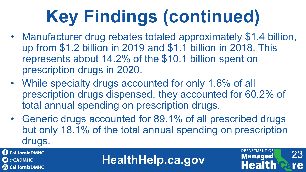## **Key Findings (continued)**

- Manufacturer drug rebates totaled approximately \$1.4 billion, up from \$1.2 billion in 2019 and \$1.1 billion in 2018. This represents about 14.2% of the \$10.1 billion spent on prescription drugs in 2020.
- While specialty drugs accounted for only 1.6% of all prescription drugs dispensed, they accounted for 60.2% of total annual spending on prescription drugs.
- Generic drugs accounted for 89.1% of all prescribed drugs but only 18.1% of the total annual spending on prescription drugs.

**CaliforniaDMHC**  $\mathbf{\Omega}$  @CADMHC **CaliforniaDMHC** 

**HealthHelp.ca.gov**

23

re

**DEPARTMENT OF** 

**Managed**